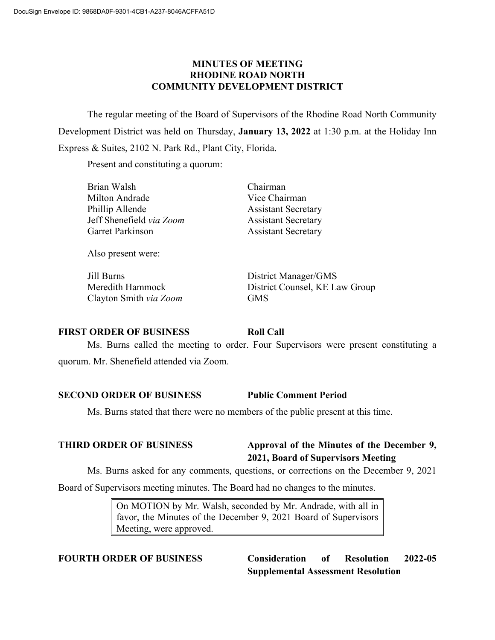# **MINUTES OF MEETING RHODINE ROAD NORTH COMMUNITY DEVELOPMENT DISTRICT**

The regular meeting of the Board of Supervisors of the Rhodine Road North Community Development District was held on Thursday, **January 13, 2022** at 1:30 p.m. at the Holiday Inn Express & Suites, 2102 N. Park Rd., Plant City, Florida.

Present and constituting a quorum:

| Brian Walsh              | Chairman                   |
|--------------------------|----------------------------|
| Milton Andrade           | Vice Chairman              |
| Phillip Allende          | <b>Assistant Secretary</b> |
| Jeff Shenefield via Zoom | <b>Assistant Secretary</b> |
| Garret Parkinson         | <b>Assistant Secretary</b> |
|                          |                            |

Also present were:

Jill Burns District Manager/GMS Clayton Smith *via Zoom* GMS

Meredith Hammock District Counsel, KE Law Group

### **FIRST ORDER OF BUSINESS Roll Call**

Ms. Burns called the meeting to order. Four Supervisors were present constituting a quorum. Mr. Shenefield attended via Zoom.

# **SECOND ORDER OF BUSINESS Public Comment Period**

Ms. Burns stated that there were no members of the public present at this time.

# **THIRD ORDER OF BUSINESS Approval of the Minutes of the December 9, 2021, Board of Supervisors Meeting**

Ms. Burns asked for any comments, questions, or corrections on the December 9, 2021

Board of Supervisors meeting minutes. The Board had no changes to the minutes.

On MOTION by Mr. Walsh, seconded by Mr. Andrade, with all in favor, the Minutes of the December 9, 2021 Board of Supervisors Meeting, were approved.

**FOURTH ORDER OF BUSINESS Consideration of Resolution 2022-05 Supplemental Assessment Resolution**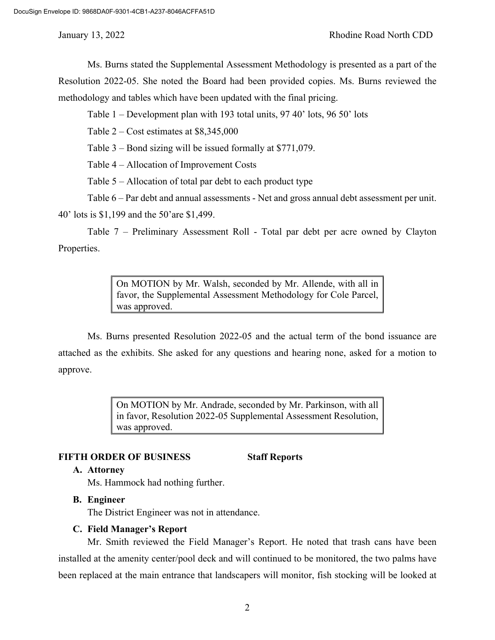Ms. Burns stated the Supplemental Assessment Methodology is presented as a part of the Resolution 2022-05. She noted the Board had been provided copies. Ms. Burns reviewed the methodology and tables which have been updated with the final pricing.

Table 1 – Development plan with 193 total units, 97 40' lots, 96 50' lots

Table 2 – Cost estimates at \$8,345,000

Table 3 – Bond sizing will be issued formally at \$771,079.

Table 4 – Allocation of Improvement Costs

Table 5 – Allocation of total par debt to each product type

Table 6 – Par debt and annual assessments - Net and gross annual debt assessment per unit.

40' lots is \$1,199 and the 50'are \$1,499.

Table 7 – Preliminary Assessment Roll - Total par debt per acre owned by Clayton Properties.

> On MOTION by Mr. Walsh, seconded by Mr. Allende, with all in favor, the Supplemental Assessment Methodology for Cole Parcel, was approved.

Ms. Burns presented Resolution 2022-05 and the actual term of the bond issuance are attached as the exhibits. She asked for any questions and hearing none, asked for a motion to approve.

> On MOTION by Mr. Andrade, seconded by Mr. Parkinson, with all in favor, Resolution 2022-05 Supplemental Assessment Resolution, was approved.

### **FIFTH ORDER OF BUSINESS Staff Reports**

### **A. Attorney**

Ms. Hammock had nothing further.

#### **B. Engineer**

The District Engineer was not in attendance.

### **C. Field Manager's Report**

Mr. Smith reviewed the Field Manager's Report. He noted that trash cans have been installed at the amenity center/pool deck and will continued to be monitored, the two palms have been replaced at the main entrance that landscapers will monitor, fish stocking will be looked at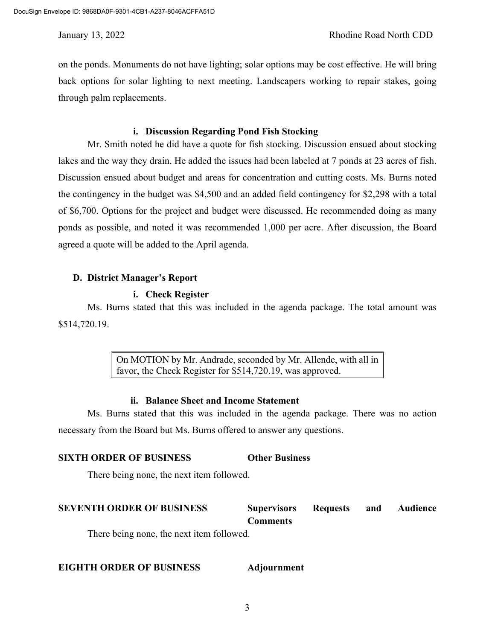on the ponds. Monuments do not have lighting; solar options may be cost effective. He will bring back options for solar lighting to next meeting. Landscapers working to repair stakes, going through palm replacements.

### **i. Discussion Regarding Pond Fish Stocking**

Mr. Smith noted he did have a quote for fish stocking. Discussion ensued about stocking lakes and the way they drain. He added the issues had been labeled at 7 ponds at 23 acres of fish. Discussion ensued about budget and areas for concentration and cutting costs. Ms. Burns noted the contingency in the budget was \$4,500 and an added field contingency for \$2,298 with a total of \$6,700. Options for the project and budget were discussed. He recommended doing as many ponds as possible, and noted it was recommended 1,000 per acre. After discussion, the Board agreed a quote will be added to the April agenda.

# **D. District Manager's Report**

#### **i. Check Register**

Ms. Burns stated that this was included in the agenda package. The total amount was \$514,720.19.

> On MOTION by Mr. Andrade, seconded by Mr. Allende, with all in favor, the Check Register for \$514,720.19, was approved.

### **ii. Balance Sheet and Income Statement**

Ms. Burns stated that this was included in the agenda package. There was no action necessary from the Board but Ms. Burns offered to answer any questions.

# **SIXTH ORDER OF BUSINESS Other Business**

There being none, the next item followed.

# **SEVENTH ORDER OF BUSINESS Supervisors Requests and Audience Comments**

There being none, the next item followed.

### **EIGHTH ORDER OF BUSINESS Adjournment**